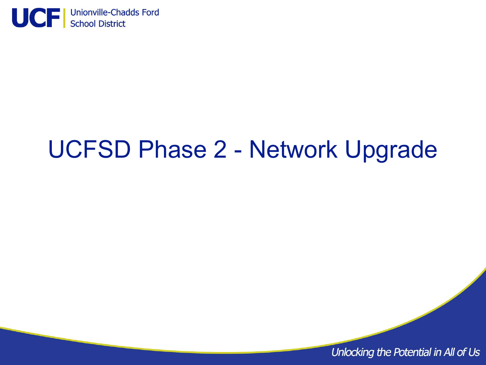

# UCFSD Phase 2 - Network Upgrade

Unlocking the Potential in All of Us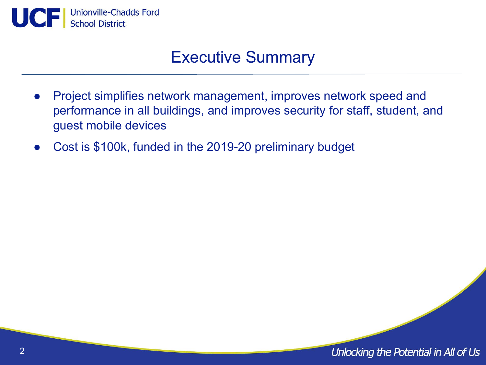

### Executive Summary

- Project simplifies network management, improves network speed and performance in all buildings, and improves security for staff, student, and guest mobile devices
- Cost is \$100k, funded in the 2019-20 preliminary budget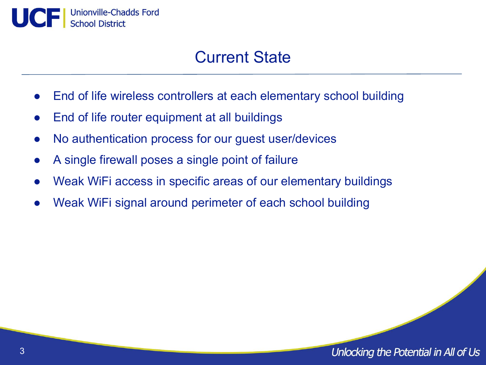

### Current State

- End of life wireless controllers at each elementary school building
- End of life router equipment at all buildings
- No authentication process for our guest user/devices
- A single firewall poses a single point of failure
- Weak WiFi access in specific areas of our elementary buildings
- Weak WiFi signal around perimeter of each school building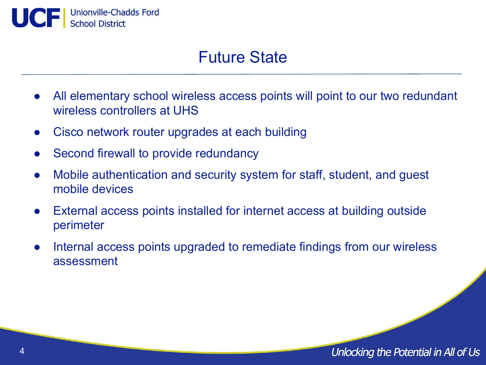

### Future State

- All elementary school wireless access points will point to our two redundant wireless controllers at UHS
- Cisco network router upgrades at each building
- Second firewall to provide redundancy
- Mobile authentication and security system for staff, student, and guest mobile devices
- External access points installed for internet access at building outside perimeter
- Internal access points upgraded to remediate findings from our wireless assessment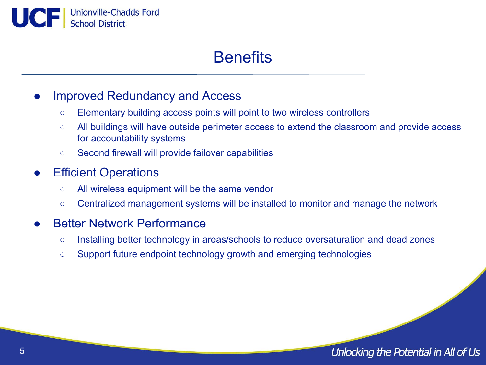UCF | Unionville-Chadds Ford

## **Benefits**

#### Improved Redundancy and Access

- Elementary building access points will point to two wireless controllers
- All buildings will have outside perimeter access to extend the classroom and provide access for accountability systems
- Second firewall will provide failover capabilities

### **Efficient Operations**

- All wireless equipment will be the same vendor
- Centralized management systems will be installed to monitor and manage the network

#### **Better Network Performance**

- Installing better technology in areas/schools to reduce oversaturation and dead zones
- Support future endpoint technology growth and emerging technologies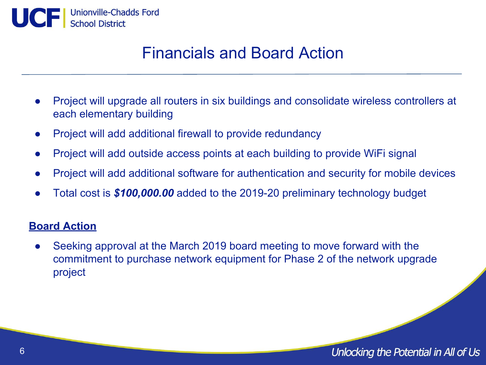

### Financials and Board Action

- Project will upgrade all routers in six buildings and consolidate wireless controllers at each elementary building
- Project will add additional firewall to provide redundancy
- Project will add outside access points at each building to provide WiFi signal
- Project will add additional software for authentication and security for mobile devices
- Total cost is **\$100,000.00** added to the 2019-20 preliminary technology budget

#### **Board Action**

• Seeking approval at the March 2019 board meeting to move forward with the commitment to purchase network equipment for Phase 2 of the network upgrade project